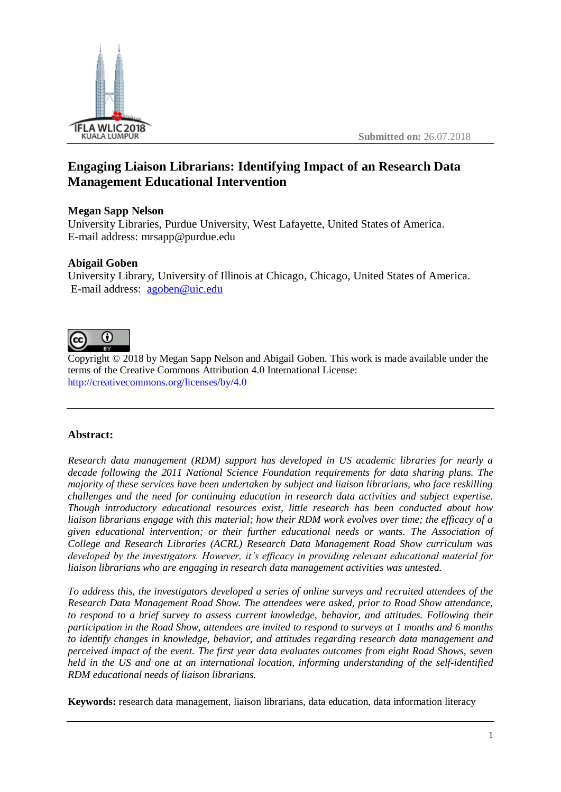

# **Engaging Liaison Librarians: Identifying Impact of an Research Data Management Educational Intervention**

### **Megan Sapp Nelson**

University Libraries, Purdue University, West Lafayette, United States of America. E-mail address: mrsapp@purdue.edu

## **Abigail Goben**

University Library, University of Illinois at Chicago, Chicago, United States of America. E-mail address: [agoben@uic.edu](mailto:agoben@uic.edu)



Copyright © 2018 by Megan Sapp Nelson and Abigail Goben. This work is made available under the terms of the Creative Commons Attribution 4.0 International License: <http://creativecommons.org/licenses/by/4.0>

### **Abstract:**

*Research data management (RDM) support has developed in US academic libraries for nearly a decade following the 2011 National Science Foundation requirements for data sharing plans. The majority of these services have been undertaken by subject and liaison librarians, who face reskilling challenges and the need for continuing education in research data activities and subject expertise. Though introductory educational resources exist, little research has been conducted about how liaison librarians engage with this material; how their RDM work evolves over time; the efficacy of a given educational intervention; or their further educational needs or wants. The Association of College and Research Libraries (ACRL) Research Data Management Road Show curriculum was developed by the investigators. However, it's efficacy in providing relevant educational material for liaison librarians who are engaging in research data management activities was untested.* 

*To address this, the investigators developed a series of online surveys and recruited attendees of the Research Data Management Road Show. The attendees were asked, prior to Road Show attendance, to respond to a brief survey to assess current knowledge, behavior, and attitudes. Following their participation in the Road Show, attendees are invited to respond to surveys at 1 months and 6 months to identify changes in knowledge, behavior, and attitudes regarding research data management and perceived impact of the event. The first year data evaluates outcomes from eight Road Shows, seven held in the US and one at an international location, informing understanding of the self-identified RDM educational needs of liaison librarians.*

**Keywords:** research data management, liaison librarians, data education, data information literacy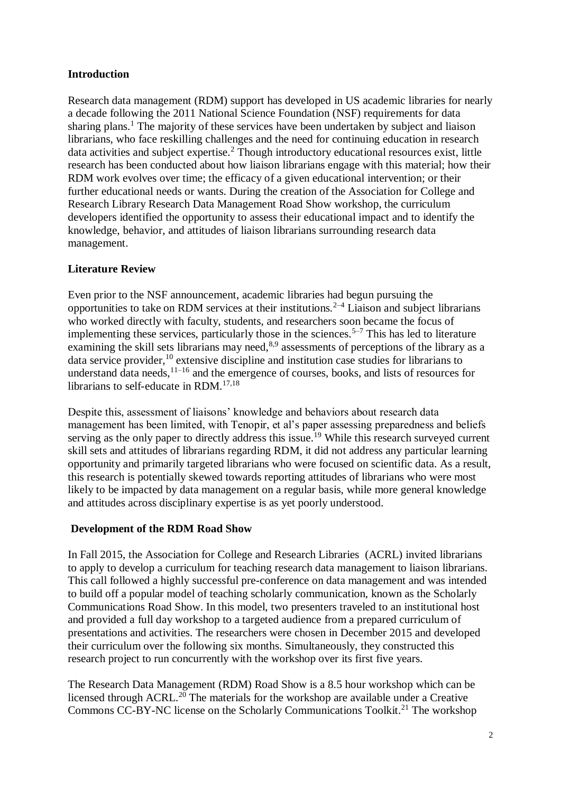## **Introduction**

Research data management (RDM) support has developed in US academic libraries for nearly a decade following the 2011 National Science Foundation (NSF) requirements for data sharing plans.<sup>1</sup> The majority of these services have been undertaken by subject and liaison librarians, who face reskilling challenges and the need for continuing education in research data activities and subject expertise.<sup>2</sup> Though introductory educational resources exist, little research has been conducted about how liaison librarians engage with this material; how their RDM work evolves over time; the efficacy of a given educational intervention; or their further educational needs or wants. During the creation of the Association for College and Research Library Research Data Management Road Show workshop, the curriculum developers identified the opportunity to assess their educational impact and to identify the knowledge, behavior, and attitudes of liaison librarians surrounding research data management.

## **Literature Review**

Even prior to the NSF announcement, academic libraries had begun pursuing the opportunities to take on RDM services at their institutions.<sup> $2-4$ </sup> Liaison and subject librarians who worked directly with faculty, students, and researchers soon became the focus of implementing these services, particularly those in the sciences.<sup>5–7</sup> This has led to literature examining the skill sets librarians may need,<sup>8,9</sup> assessments of perceptions of the library as a data service provider,<sup>10</sup> extensive discipline and institution case studies for librarians to understand data needs, $1^{1-16}$  and the emergence of courses, books, and lists of resources for librarians to self-educate in RDM.<sup>17,18</sup>

Despite this, assessment of liaisons' knowledge and behaviors about research data management has been limited, with Tenopir, et al's paper assessing preparedness and beliefs serving as the only paper to directly address this issue.<sup>19</sup> While this research surveyed current skill sets and attitudes of librarians regarding RDM, it did not address any particular learning opportunity and primarily targeted librarians who were focused on scientific data. As a result, this research is potentially skewed towards reporting attitudes of librarians who were most likely to be impacted by data management on a regular basis, while more general knowledge and attitudes across disciplinary expertise is as yet poorly understood.

### **Development of the RDM Road Show**

In Fall 2015, the Association for College and Research Libraries (ACRL) invited librarians to apply to develop a curriculum for teaching research data management to liaison librarians. This call followed a highly successful pre-conference on data management and was intended to build off a popular model of teaching scholarly communication, known as the Scholarly Communications Road Show. In this model, two presenters traveled to an institutional host and provided a full day workshop to a targeted audience from a prepared curriculum of presentations and activities. The researchers were chosen in December 2015 and developed their curriculum over the following six months. Simultaneously, they constructed this research project to run concurrently with the workshop over its first five years.

The Research Data Management (RDM) Road Show is a 8.5 hour workshop which can be licensed through ACRL.<sup>20</sup> The materials for the workshop are available under a Creative Commons CC-BY-NC license on the Scholarly Communications Toolkit.<sup>21</sup> The workshop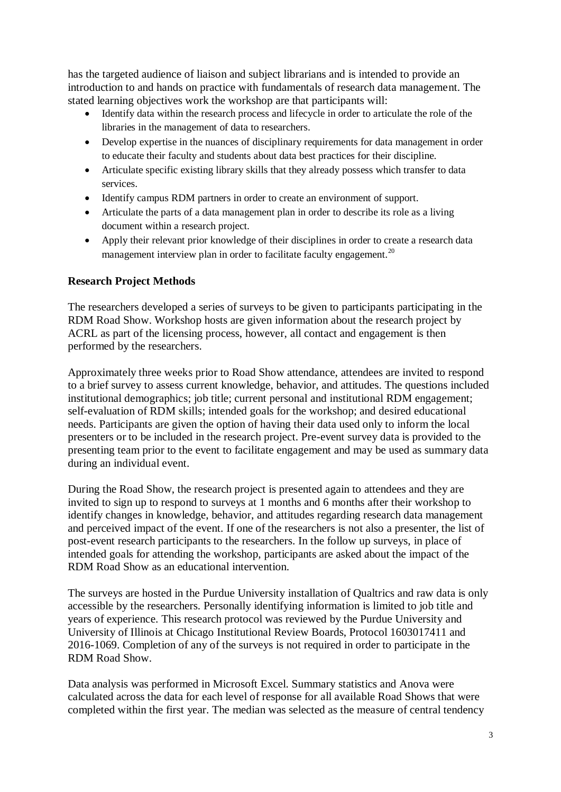has the targeted audience of liaison and subject librarians and is intended to provide an introduction to and hands on practice with fundamentals of research data management. The stated learning objectives work the workshop are that participants will:

- Identify data within the research process and lifecycle in order to articulate the role of the libraries in the management of data to researchers.
- Develop expertise in the nuances of disciplinary requirements for data management in order to educate their faculty and students about data best practices for their discipline.
- Articulate specific existing library skills that they already possess which transfer to data services.
- Identify campus RDM partners in order to create an environment of support.
- Articulate the parts of a data management plan in order to describe its role as a living document within a research project.
- Apply their relevant prior knowledge of their disciplines in order to create a research data management interview plan in order to facilitate faculty engagement.<sup>20</sup>

#### **Research Project Methods**

The researchers developed a series of surveys to be given to participants participating in the RDM Road Show. Workshop hosts are given information about the research project by ACRL as part of the licensing process, however, all contact and engagement is then performed by the researchers.

Approximately three weeks prior to Road Show attendance, attendees are invited to respond to a brief survey to assess current knowledge, behavior, and attitudes. The questions included institutional demographics; job title; current personal and institutional RDM engagement; self-evaluation of RDM skills; intended goals for the workshop; and desired educational needs. Participants are given the option of having their data used only to inform the local presenters or to be included in the research project. Pre-event survey data is provided to the presenting team prior to the event to facilitate engagement and may be used as summary data during an individual event.

During the Road Show, the research project is presented again to attendees and they are invited to sign up to respond to surveys at 1 months and 6 months after their workshop to identify changes in knowledge, behavior, and attitudes regarding research data management and perceived impact of the event. If one of the researchers is not also a presenter, the list of post-event research participants to the researchers. In the follow up surveys, in place of intended goals for attending the workshop, participants are asked about the impact of the RDM Road Show as an educational intervention.

The surveys are hosted in the Purdue University installation of Qualtrics and raw data is only accessible by the researchers. Personally identifying information is limited to job title and years of experience. This research protocol was reviewed by the Purdue University and University of Illinois at Chicago Institutional Review Boards, Protocol 1603017411 and 2016-1069. Completion of any of the surveys is not required in order to participate in the RDM Road Show.

Data analysis was performed in Microsoft Excel. Summary statistics and Anova were calculated across the data for each level of response for all available Road Shows that were completed within the first year. The median was selected as the measure of central tendency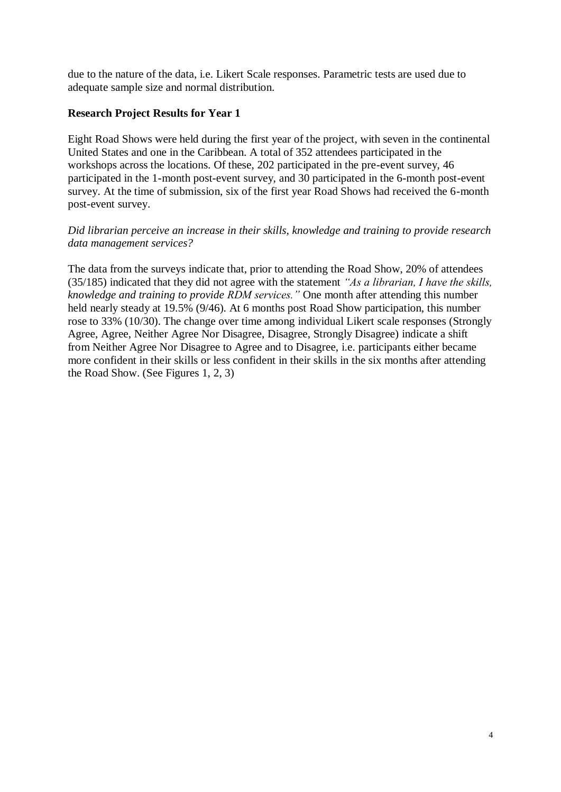due to the nature of the data, i.e. Likert Scale responses. Parametric tests are used due to adequate sample size and normal distribution.

#### **Research Project Results for Year 1**

Eight Road Shows were held during the first year of the project, with seven in the continental United States and one in the Caribbean. A total of 352 attendees participated in the workshops across the locations. Of these, 202 participated in the pre-event survey, 46 participated in the 1-month post-event survey, and 30 participated in the 6-month post-event survey. At the time of submission, six of the first year Road Shows had received the 6-month post-event survey.

#### *Did librarian perceive an increase in their skills, knowledge and training to provide research data management services?*

The data from the surveys indicate that, prior to attending the Road Show, 20% of attendees (35/185) indicated that they did not agree with the statement *"As a librarian, I have the skills, knowledge and training to provide RDM services."* One month after attending this number held nearly steady at 19.5% (9/46). At 6 months post Road Show participation, this number rose to 33% (10/30). The change over time among individual Likert scale responses (Strongly Agree, Agree, Neither Agree Nor Disagree, Disagree, Strongly Disagree) indicate a shift from Neither Agree Nor Disagree to Agree and to Disagree, i.e. participants either became more confident in their skills or less confident in their skills in the six months after attending the Road Show. (See Figures 1, 2, 3)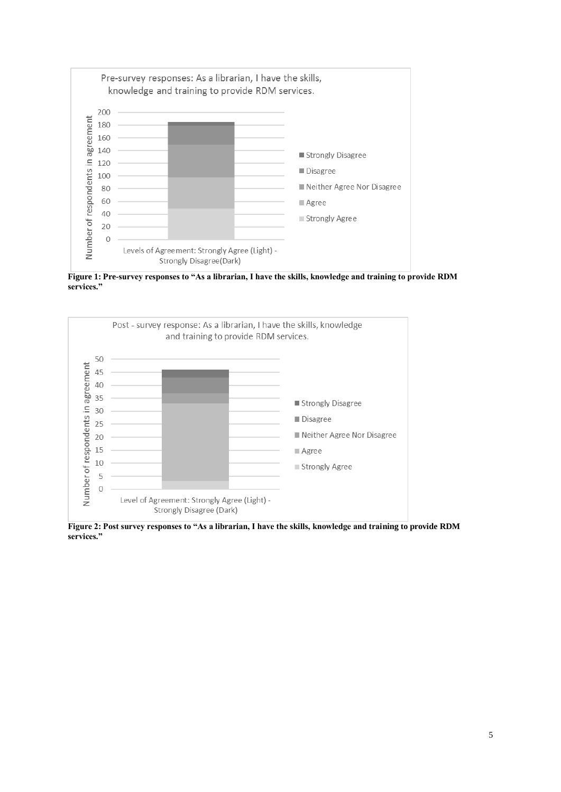

**Figure 1: Pre-survey responses to "As a librarian, I have the skills, knowledge and training to provide RDM services."**



**Figure 2: Post survey responses to "As a librarian, I have the skills, knowledge and training to provide RDM services."**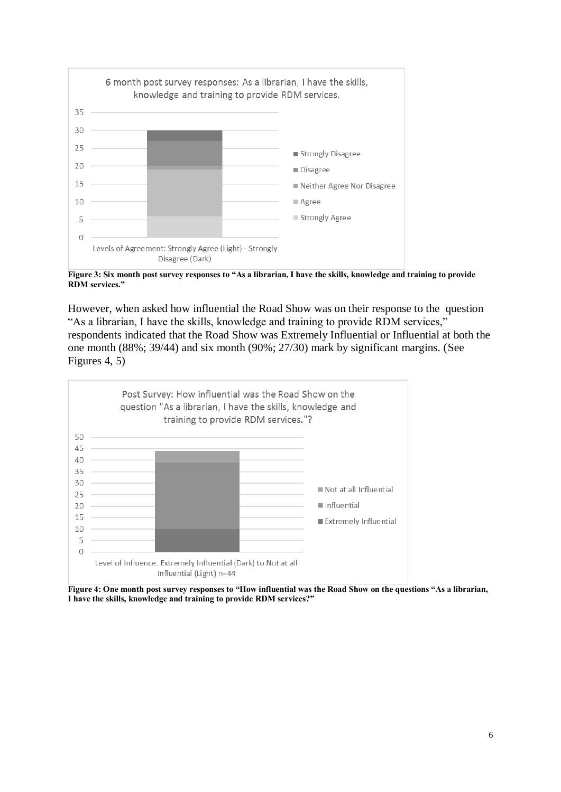

**Figure 3: Six month post survey responses to "As a librarian, I have the skills, knowledge and training to provide RDM services."**

However, when asked how influential the Road Show was on their response to the question "As a librarian, I have the skills, knowledge and training to provide RDM services," respondents indicated that the Road Show was Extremely Influential or Influential at both the one month (88%; 39/44) and six month (90%; 27/30) mark by significant margins. (See Figures 4, 5)



**Figure 4: One month post survey responses to "How influential was the Road Show on the questions "As a librarian, I have the skills, knowledge and training to provide RDM services?"**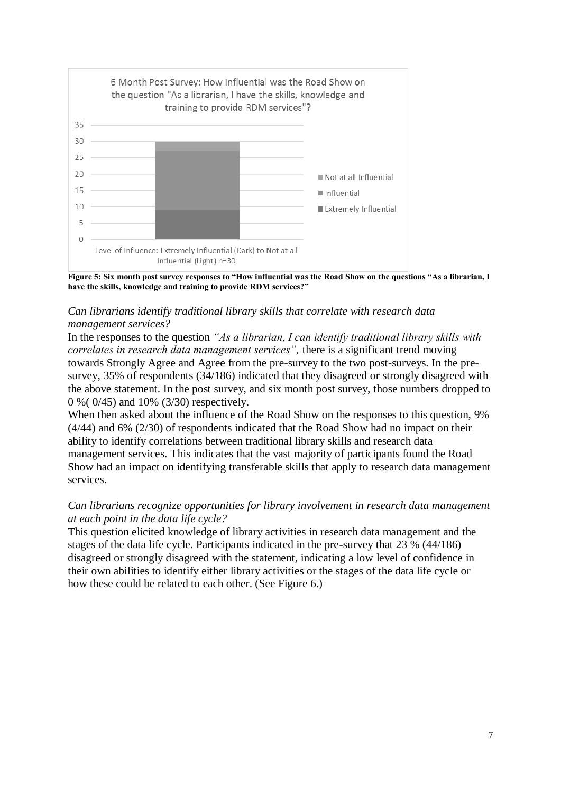

**Figure 5: Six month post survey responses to "How influential was the Road Show on the questions "As a librarian, I have the skills, knowledge and training to provide RDM services?"**

### *Can librarians identify traditional library skills that correlate with research data management services?*

In the responses to the question *"As a librarian, I can identify traditional library skills with correlates in research data management services",* there is a significant trend moving towards Strongly Agree and Agree from the pre-survey to the two post-surveys. In the presurvey, 35% of respondents (34/186) indicated that they disagreed or strongly disagreed with the above statement. In the post survey, and six month post survey, those numbers dropped to 0 %( 0/45) and 10% (3/30) respectively.

When then asked about the influence of the Road Show on the responses to this question, 9% (4/44) and 6% (2/30) of respondents indicated that the Road Show had no impact on their ability to identify correlations between traditional library skills and research data management services. This indicates that the vast majority of participants found the Road Show had an impact on identifying transferable skills that apply to research data management services.

### *Can librarians recognize opportunities for library involvement in research data management at each point in the data life cycle?*

This question elicited knowledge of library activities in research data management and the stages of the data life cycle. Participants indicated in the pre-survey that 23 % (44/186) disagreed or strongly disagreed with the statement, indicating a low level of confidence in their own abilities to identify either library activities or the stages of the data life cycle or how these could be related to each other. (See Figure 6.)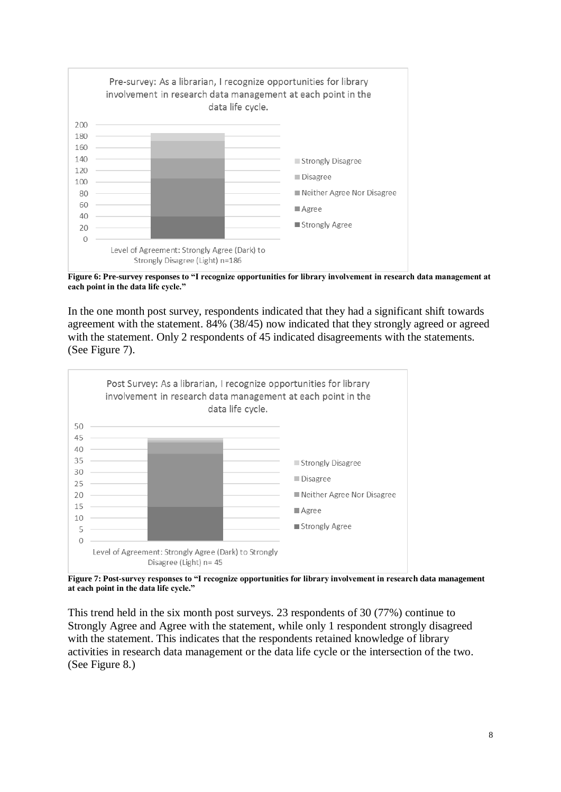

**Figure 6: Pre-survey responses to "I recognize opportunities for library involvement in research data management at each point in the data life cycle."**

In the one month post survey, respondents indicated that they had a significant shift towards agreement with the statement. 84% (38/45) now indicated that they strongly agreed or agreed with the statement. Only 2 respondents of 45 indicated disagreements with the statements. (See Figure 7).



**Figure 7: Post-survey responses to "I recognize opportunities for library involvement in research data management at each point in the data life cycle."**

This trend held in the six month post surveys. 23 respondents of 30 (77%) continue to Strongly Agree and Agree with the statement, while only 1 respondent strongly disagreed with the statement. This indicates that the respondents retained knowledge of library activities in research data management or the data life cycle or the intersection of the two. (See Figure 8.)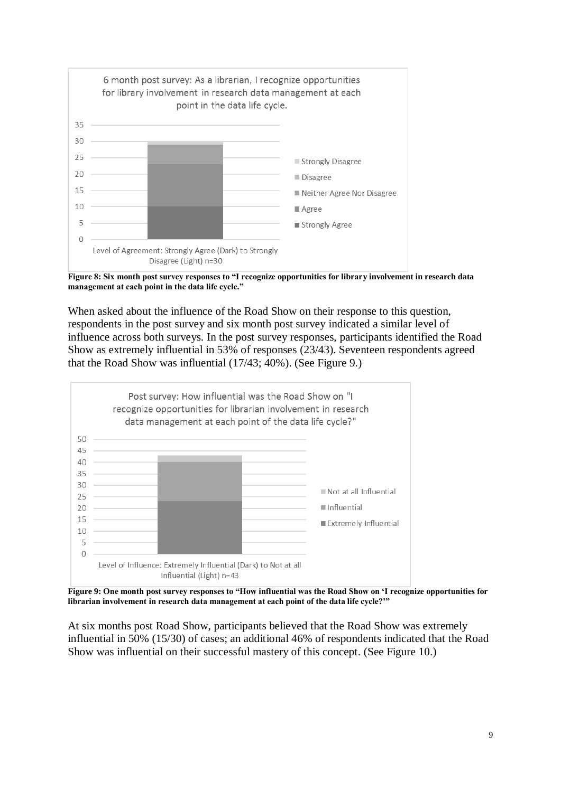

**Figure 8: Six month post survey responses to "I recognize opportunities for library involvement in research data management at each point in the data life cycle."**

When asked about the influence of the Road Show on their response to this question, respondents in the post survey and six month post survey indicated a similar level of influence across both surveys. In the post survey responses, participants identified the Road Show as extremely influential in 53% of responses (23/43). Seventeen respondents agreed that the Road Show was influential (17/43; 40%). (See Figure 9.)



**Figure 9: One month post survey responses to "How influential was the Road Show on 'I recognize opportunities for librarian involvement in research data management at each point of the data life cycle?'"**

At six months post Road Show, participants believed that the Road Show was extremely influential in 50% (15/30) of cases; an additional 46% of respondents indicated that the Road Show was influential on their successful mastery of this concept. (See Figure 10.)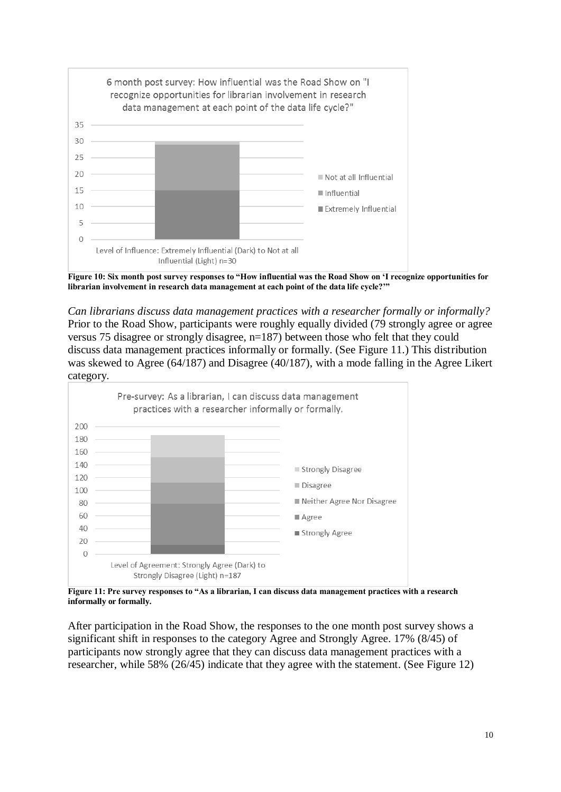

**Figure 10: Six month post survey responses to "How influential was the Road Show on 'I recognize opportunities for librarian involvement in research data management at each point of the data life cycle?'"**

*Can librarians discuss data management practices with a researcher formally or informally?*  Prior to the Road Show, participants were roughly equally divided (79 strongly agree or agree versus 75 disagree or strongly disagree, n=187) between those who felt that they could discuss data management practices informally or formally. (See Figure 11.) This distribution was skewed to Agree (64/187) and Disagree (40/187), with a mode falling in the Agree Likert category.



**Figure 11: Pre survey responses to "As a librarian, I can discuss data management practices with a research informally or formally.** 

After participation in the Road Show, the responses to the one month post survey shows a significant shift in responses to the category Agree and Strongly Agree. 17% (8/45) of participants now strongly agree that they can discuss data management practices with a researcher, while 58% (26/45) indicate that they agree with the statement. (See Figure 12)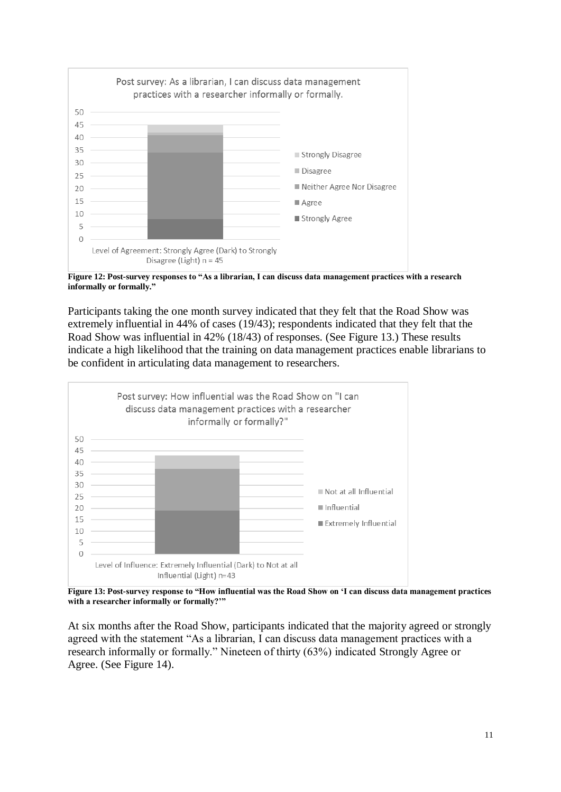

**Figure 12: Post-survey responses to "As a librarian, I can discuss data management practices with a research informally or formally."**

Participants taking the one month survey indicated that they felt that the Road Show was extremely influential in 44% of cases (19/43); respondents indicated that they felt that the Road Show was influential in 42% (18/43) of responses. (See Figure 13.) These results indicate a high likelihood that the training on data management practices enable librarians to be confident in articulating data management to researchers.



**Figure 13: Post-survey response to "How influential was the Road Show on 'I can discuss data management practices with a researcher informally or formally?'"**

At six months after the Road Show, participants indicated that the majority agreed or strongly agreed with the statement "As a librarian, I can discuss data management practices with a research informally or formally." Nineteen of thirty (63%) indicated Strongly Agree or Agree. (See Figure 14).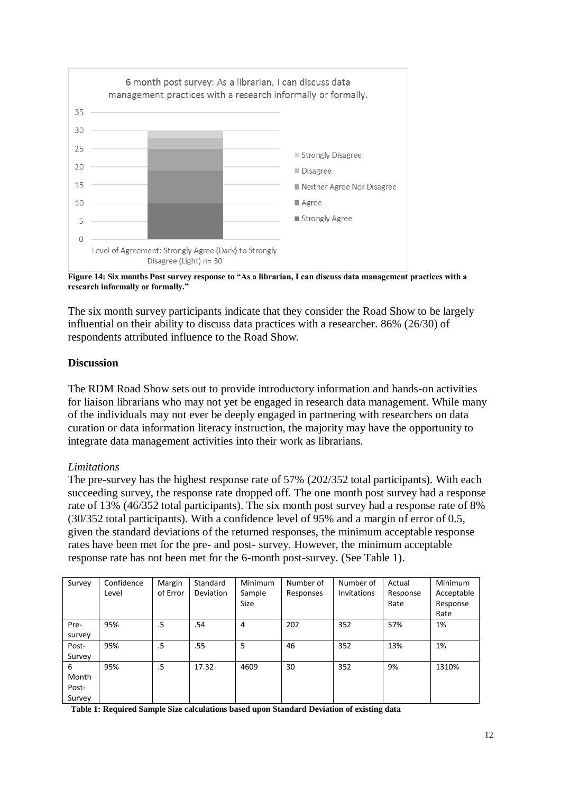

**Figure 14: Six months Post survey response to "As a librarian, I can discuss data management practices with a research informally or formally."**

The six month survey participants indicate that they consider the Road Show to be largely influential on their ability to discuss data practices with a researcher. 86% (26/30) of respondents attributed influence to the Road Show.

#### **Discussion**

The RDM Road Show sets out to provide introductory information and hands-on activities for liaison librarians who may not yet be engaged in research data management. While many of the individuals may not ever be deeply engaged in partnering with researchers on data curation or data information literacy instruction, the majority may have the opportunity to integrate data management activities into their work as librarians.

#### *Limitations*

The pre-survey has the highest response rate of 57% (202/352 total participants). With each succeeding survey, the response rate dropped off. The one month post survey had a response rate of 13% (46/352 total participants). The six month post survey had a response rate of 8% (30/352 total participants). With a confidence level of 95% and a margin of error of 0.5, given the standard deviations of the returned responses, the minimum acceptable response rates have been met for the pre- and post- survey. However, the minimum acceptable response rate has not been met for the 6-month post-survey. (See Table 1).

| Survey | Confidence<br>Level | Margin<br>of Error | Standard<br><b>Deviation</b> | Minimum<br>Sample<br><b>Size</b> | Number of<br>Responses | Number of<br>Invitations | Actual<br>Response<br>Rate | Minimum<br>Acceptable<br>Response<br>Rate |
|--------|---------------------|--------------------|------------------------------|----------------------------------|------------------------|--------------------------|----------------------------|-------------------------------------------|
| Pre-   | 95%                 | .5                 | .54                          | 4                                | 202                    | 352                      | 57%                        | 1%                                        |
| survey |                     |                    |                              |                                  |                        |                          |                            |                                           |
| Post-  | 95%                 | .5                 | .55                          | 5                                | 46                     | 352                      | 13%                        | 1%                                        |
| Survey |                     |                    |                              |                                  |                        |                          |                            |                                           |
| 6      | 95%                 | .5                 | 17.32                        | 4609                             | 30                     | 352                      | 9%                         | 1310%                                     |
| Month  |                     |                    |                              |                                  |                        |                          |                            |                                           |
| Post-  |                     |                    |                              |                                  |                        |                          |                            |                                           |
| Survey |                     |                    |                              |                                  |                        |                          |                            |                                           |

**Table 1: Required Sample Size calculations based upon Standard Deviation of existing data**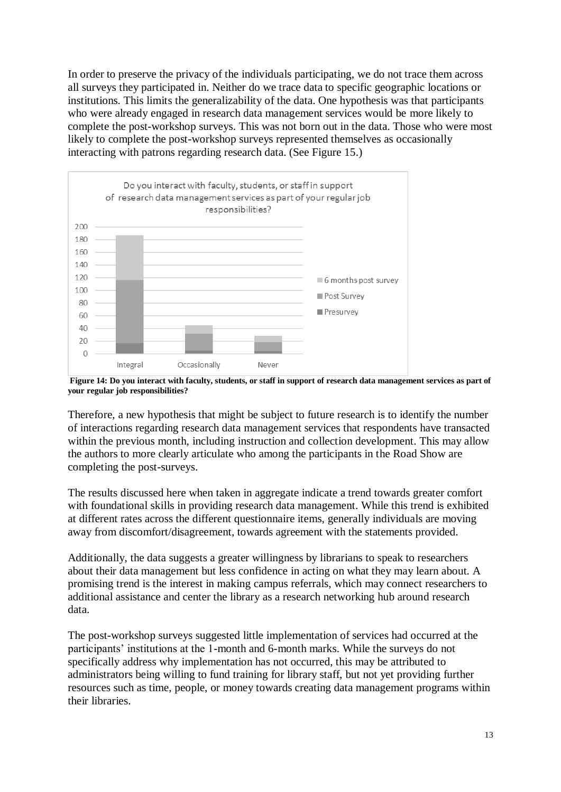In order to preserve the privacy of the individuals participating, we do not trace them across all surveys they participated in. Neither do we trace data to specific geographic locations or institutions. This limits the generalizability of the data. One hypothesis was that participants who were already engaged in research data management services would be more likely to complete the post-workshop surveys. This was not born out in the data. Those who were most likely to complete the post-workshop surveys represented themselves as occasionally interacting with patrons regarding research data. (See Figure 15.)



**Figure 14: Do you interact with faculty, students, or staff in support of research data management services as part of your regular job responsibilities?** 

Therefore, a new hypothesis that might be subject to future research is to identify the number of interactions regarding research data management services that respondents have transacted within the previous month, including instruction and collection development. This may allow the authors to more clearly articulate who among the participants in the Road Show are completing the post-surveys.

The results discussed here when taken in aggregate indicate a trend towards greater comfort with foundational skills in providing research data management. While this trend is exhibited at different rates across the different questionnaire items, generally individuals are moving away from discomfort/disagreement, towards agreement with the statements provided.

Additionally, the data suggests a greater willingness by librarians to speak to researchers about their data management but less confidence in acting on what they may learn about. A promising trend is the interest in making campus referrals, which may connect researchers to additional assistance and center the library as a research networking hub around research data.

The post-workshop surveys suggested little implementation of services had occurred at the participants' institutions at the 1-month and 6-month marks. While the surveys do not specifically address why implementation has not occurred, this may be attributed to administrators being willing to fund training for library staff, but not yet providing further resources such as time, people, or money towards creating data management programs within their libraries.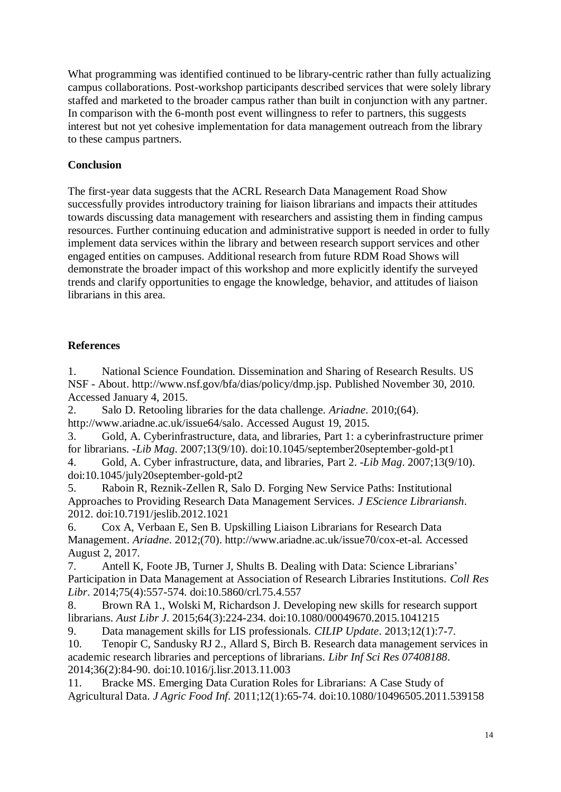What programming was identified continued to be library-centric rather than fully actualizing campus collaborations. Post-workshop participants described services that were solely library staffed and marketed to the broader campus rather than built in conjunction with any partner. In comparison with the 6-month post event willingness to refer to partners, this suggests interest but not yet cohesive implementation for data management outreach from the library to these campus partners.

## **Conclusion**

The first-year data suggests that the ACRL Research Data Management Road Show successfully provides introductory training for liaison librarians and impacts their attitudes towards discussing data management with researchers and assisting them in finding campus resources. Further continuing education and administrative support is needed in order to fully implement data services within the library and between research support services and other engaged entities on campuses. Additional research from future RDM Road Shows will demonstrate the broader impact of this workshop and more explicitly identify the surveyed trends and clarify opportunities to engage the knowledge, behavior, and attitudes of liaison librarians in this area.

## **References**

1. National Science Foundation. Dissemination and Sharing of Research Results. US NSF - About. http://www.nsf.gov/bfa/dias/policy/dmp.jsp. Published November 30, 2010. Accessed January 4, 2015.

2. Salo D. Retooling libraries for the data challenge. *Ariadne*. 2010;(64). http://www.ariadne.ac.uk/issue64/salo. Accessed August 19, 2015.

3. Gold, A. Cyberinfrastructure, data, and libraries, Part 1: a cyberinfrastructure primer for librarians. *-Lib Mag*. 2007;13(9/10). doi:10.1045/september20september-gold-pt1

4. Gold, A. Cyber infrastructure, data, and libraries, Part 2. *-Lib Mag*. 2007;13(9/10). doi:10.1045/july20september-gold-pt2

5. Raboin R, Reznik-Zellen R, Salo D. Forging New Service Paths: Institutional Approaches to Providing Research Data Management Services. *J EScience Librariansh*. 2012. doi:10.7191/jeslib.2012.1021

6. Cox A, Verbaan E, Sen B. Upskilling Liaison Librarians for Research Data Management. *Ariadne*. 2012;(70). http://www.ariadne.ac.uk/issue70/cox-et-al. Accessed August 2, 2017.

7. Antell K, Foote JB, Turner J, Shults B. Dealing with Data: Science Librarians' Participation in Data Management at Association of Research Libraries Institutions. *Coll Res Libr*. 2014;75(4):557-574. doi:10.5860/crl.75.4.557

8. Brown RA 1., Wolski M, Richardson J. Developing new skills for research support librarians. *Aust Libr J*. 2015;64(3):224-234. doi:10.1080/00049670.2015.1041215

9. Data management skills for LIS professionals. *CILIP Update*. 2013;12(1):7-7. 10. Tenopir C, Sandusky RJ 2., Allard S, Birch B. Research data management services in academic research libraries and perceptions of librarians. *Libr Inf Sci Res 07408188*.

2014;36(2):84-90. doi:10.1016/j.lisr.2013.11.003

11. Bracke MS. Emerging Data Curation Roles for Librarians: A Case Study of Agricultural Data. *J Agric Food Inf*. 2011;12(1):65-74. doi:10.1080/10496505.2011.539158